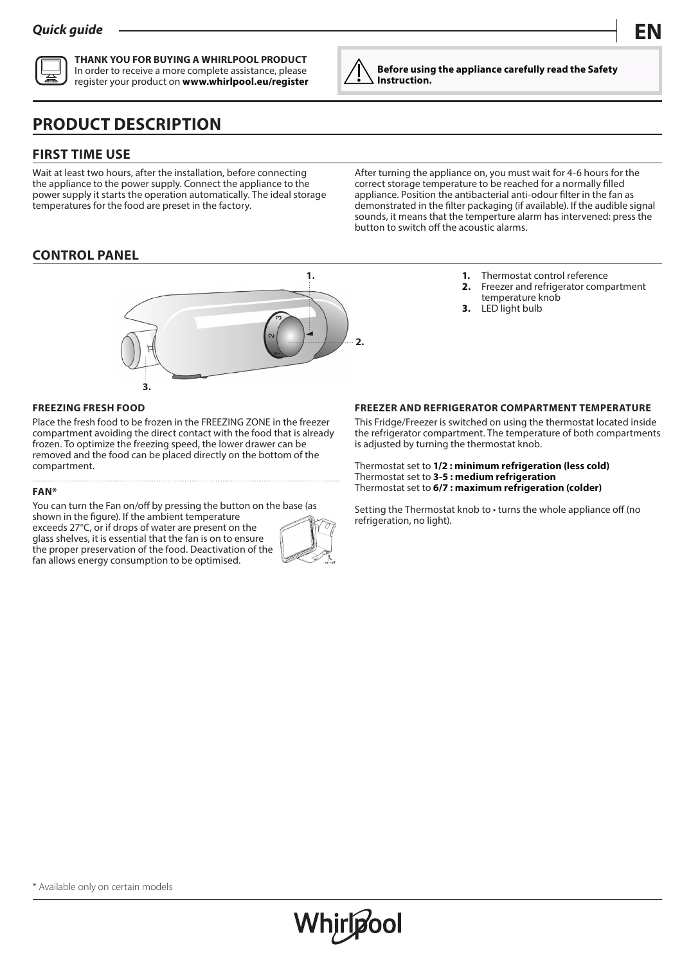

**THANK YOU FOR BUYING A WHIRLPOOL PRODUCT** In order to receive a more complete assistance, please register your product on **www.whirlpool.eu/register**

# **PRODUCT DESCRIPTION**

# **FIRST TIME USE**

Wait at least two hours, after the installation, before connecting the appliance to the power supply. Connect the appliance to the power supply it starts the operation automatically. The ideal storage temperatures for the food are preset in the factory.

After turning the appliance on, you must wait for 4-6 hours for the correct storage temperature to be reached for a normally filled appliance. Position the antibacterial anti-odour filter in the fan as demonstrated in the filter packaging (if available). If the audible signal sounds, it means that the temperture alarm has intervened: press the button to switch off the acoustic alarms.

**Before using the appliance carefully read the Safety** 

**Instruction.**

# **CONTROL PANEL**



- **1.** Thermostat control reference<br>**2.** Freezer and refrigerator comp
- **2.** Freezer and refrigerator compartment
- temperature knob **3.** LED light bulb

#### **FREEZING FRESH FOOD**

Place the fresh food to be frozen in the FREEZING ZONE in the freezer compartment avoiding the direct contact with the food that is already frozen. To optimize the freezing speed, the lower drawer can be removed and the food can be placed directly on the bottom of the compartment.

#### **FAN\***

You can turn the Fan on/off by pressing the button on the base (as shown in the figure). If the ambient temperature

exceeds 27°C, or if drops of water are present on the glass shelves, it is essential that the fan is on to ensure the proper preservation of the food. Deactivation of the fan allows energy consumption to be optimised.



**FREEZER AND REFRIGERATOR COMPARTMENT TEMPERATURE**

This Fridge/Freezer is switched on using the thermostat located inside the refrigerator compartment. The temperature of both compartments is adjusted by turning the thermostat knob.

Thermostat set to **1/2 : minimum refrigeration (less cold)** Thermostat set to **3-5 : medium refrigeration** Thermostat set to **6/7 : maximum refrigeration (colder)**

Setting the Thermostat knob to • turns the whole appliance off (no refrigeration, no light).